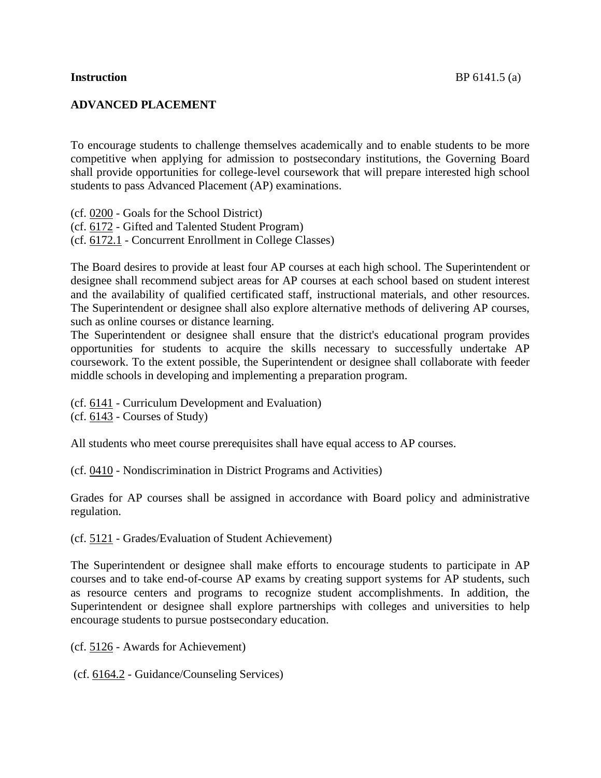## **ADVANCED PLACEMENT**

To encourage students to challenge themselves academically and to enable students to be more competitive when applying for admission to postsecondary institutions, the Governing Board shall provide opportunities for college-level coursework that will prepare interested high school students to pass Advanced Placement (AP) examinations.

(cf. [0200](http://www.gamutonline.net/displayPolicy/292801/6) - Goals for the School District)

(cf. [6172](http://www.gamutonline.net/displayPolicy/234092/6) - Gifted and Talented Student Program)

(cf. [6172.1](http://www.gamutonline.net/displayPolicy/500009/6) - Concurrent Enrollment in College Classes)

The Board desires to provide at least four AP courses at each high school. The Superintendent or designee shall recommend subject areas for AP courses at each school based on student interest and the availability of qualified certificated staff, instructional materials, and other resources. The Superintendent or designee shall also explore alternative methods of delivering AP courses, such as online courses or distance learning.

The Superintendent or designee shall ensure that the district's educational program provides opportunities for students to acquire the skills necessary to successfully undertake AP coursework. To the extent possible, the Superintendent or designee shall collaborate with feeder middle schools in developing and implementing a preparation program.

(cf. [6141](http://www.gamutonline.net/displayPolicy/170968/6) - Curriculum Development and Evaluation)

(cf. [6143](http://www.gamutonline.net/displayPolicy/292826/6) - Courses of Study)

All students who meet course prerequisites shall have equal access to AP courses.

(cf. [0410](http://www.gamutonline.net/displayPolicy/303886/6) - Nondiscrimination in District Programs and Activities)

Grades for AP courses shall be assigned in accordance with Board policy and administrative regulation.

(cf. [5121](http://www.gamutonline.net/displayPolicy/315743/6) - Grades/Evaluation of Student Achievement)

The Superintendent or designee shall make efforts to encourage students to participate in AP courses and to take end-of-course AP exams by creating support systems for AP students, such as resource centers and programs to recognize student accomplishments. In addition, the Superintendent or designee shall explore partnerships with colleges and universities to help encourage students to pursue postsecondary education.

(cf. [5126](http://www.gamutonline.net/displayPolicy/171579/6) - Awards for Achievement)

(cf. [6164.2](http://www.gamutonline.net/displayPolicy/274292/6) - Guidance/Counseling Services)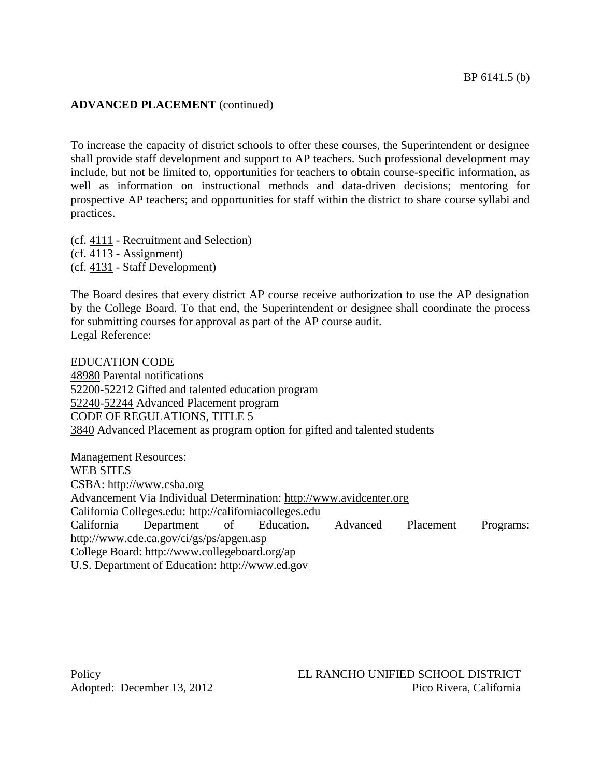## **ADVANCED PLACEMENT** (continued)

To increase the capacity of district schools to offer these courses, the Superintendent or designee shall provide staff development and support to AP teachers. Such professional development may include, but not be limited to, opportunities for teachers to obtain course-specific information, as well as information on instructional methods and data-driven decisions; mentoring for prospective AP teachers; and opportunities for staff within the district to share course syllabi and practices.

(cf. [4111](http://www.gamutonline.net/displayPolicy/303897/6) - Recruitment and Selection)  $(cf. 4113 - Assignment)$  $(cf. 4113 - Assignment)$  $(cf. 4113 - Assignment)$ (cf. [4131](http://www.gamutonline.net/displayPolicy/171609/6) - Staff Development)

The Board desires that every district AP course receive authorization to use the AP designation by the College Board. To that end, the Superintendent or designee shall coordinate the process for submitting courses for approval as part of the AP course audit. Legal Reference:

EDUCATION CODE Parental notifications [-52212](http://www.gamutonline.net/displayPolicy/226200/6) Gifted and talented education program [-52244](http://www.gamutonline.net/displayPolicy/138276/6) Advanced Placement program CODE OF REGULATIONS, TITLE 5 Advanced Placement as program option for gifted and talented students

Management Resources: WEB SITES CSBA: [http://www.csba.org](http://www.csba.org/) Advancement Via Individual Determination: [http://www.avidcenter.org](http://www.avidcenter.org/) California Colleges.edu: [http://californiacolleges.edu](http://californiacolleges.edu/) California Department of Education, Advanced Placement Programs: <http://www.cde.ca.gov/ci/gs/ps/apgen.asp> College Board: http://www.collegeboard.org/ap U.S. Department of Education: [http://www.ed.gov](http://www.ed.gov/)